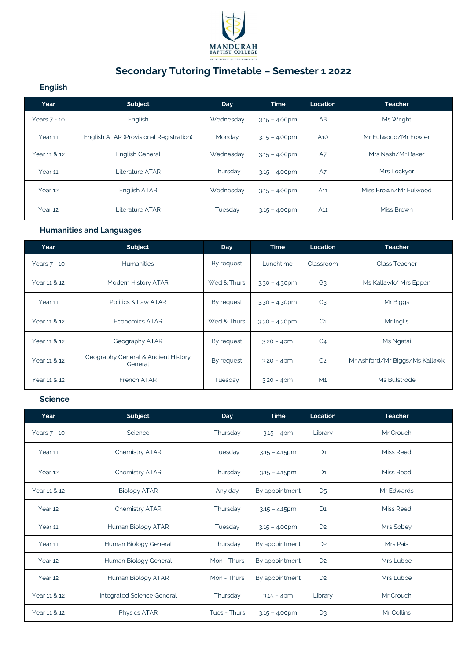

# **Secondary Tutoring Timetable – Semester 1 2022**

## **English**

| Year           | Subject                                 | Day       | <b>Time</b>      | Location        | <b>Teacher</b>        |
|----------------|-----------------------------------------|-----------|------------------|-----------------|-----------------------|
| Years $7 - 10$ | English                                 | Wednesday | $3.15 - 4.00$ pm | A <sub>8</sub>  | Ms Wright             |
| Year 11        | English ATAR (Provisional Registration) | Monday    | $3.15 - 4.00$ pm | A <sub>10</sub> | Mr Fulwood/Mr Fowler  |
| Year 11 & 12   | <b>English General</b>                  | Wednesday | $3.15 - 4.00$ pm | A7              | Mrs Nash/Mr Baker     |
| Year 11        | Literature ATAR                         | Thursday  | $3.15 - 4.00$ pm | A7              | Mrs Lockyer           |
| Year 12        | English ATAR                            | Wednesday | $3.15 - 4.00$ pm | A <sub>11</sub> | Miss Brown/Mr Fulwood |
| Year 12        | Literature ATAR                         | Tuesday   | $3.15 - 4.00$ pm | A <sub>11</sub> | Miss Brown            |

## **Humanities and Languages**

| Year         | Subject                                        | <b>Day</b>  | <b>Time</b>      | Location       | <b>Teacher</b>                 |
|--------------|------------------------------------------------|-------------|------------------|----------------|--------------------------------|
| Years 7 - 10 | <b>Humanities</b>                              | By request  | Lunchtime        | Classroom      | <b>Class Teacher</b>           |
| Year 11 & 12 | Modern History ATAR                            | Wed & Thurs | $3.30 - 4.30$ pm | G <sub>3</sub> | Ms Kallawk/ Mrs Eppen          |
| Year 11      | Politics & Law ATAR                            | By request  | $3.30 - 4.30$ pm | C <sub>3</sub> | Mr Biggs                       |
| Year 11 & 12 | <b>Economics ATAR</b>                          | Wed & Thurs | $3.30 - 4.30$ pm | C <sub>1</sub> | Mr Inglis                      |
| Year 11 & 12 | Geography ATAR                                 | By request  | $3.20 - 4pm$     | C <sub>4</sub> | Ms Ngatai                      |
| Year 11 & 12 | Geography General & Ancient History<br>General | By request  | $3.20 - 4pm$     | C <sub>2</sub> | Mr Ashford/Mr Biggs/Ms Kallawk |
| Year 11 & 12 | French ATAR                                    | Tuesday     | $3.20 - 4pm$     | M <sub>1</sub> | Ms Bulstrode                   |

### **Science**

| Year               | Subject                    | <b>Day</b>   | <b>Time</b>      | Location       | <b>Teacher</b>   |
|--------------------|----------------------------|--------------|------------------|----------------|------------------|
| Years 7 - 10       | Science                    | Thursday     | $3.15 - 4pm$     | Library        | Mr Crouch        |
| Year 11            | <b>Chemistry ATAR</b>      | Tuesday      | $3.15 - 4.15$ pm | D <sub>1</sub> | Miss Reed        |
| Year 12            | <b>Chemistry ATAR</b>      | Thursday     | $3.15 - 4.15$ pm | D <sub>1</sub> | <b>Miss Reed</b> |
| Year 11 & 12       | <b>Biology ATAR</b>        | Any day      | By appointment   | D <sub>5</sub> | Mr Edwards       |
| Year 12            | <b>Chemistry ATAR</b>      | Thursday     | $3.15 - 4.15$ pm | D <sub>1</sub> | Miss Reed        |
| Year 11            | Human Biology ATAR         | Tuesday      | $3.15 - 4.00$ pm | D <sub>2</sub> | Mrs Sobey        |
| Year 11            | Human Biology General      | Thursday     | By appointment   | D <sub>2</sub> | Mrs Pais         |
| Year <sub>12</sub> | Human Biology General      | Mon - Thurs  | By appointment   | D <sub>2</sub> | Mrs Lubbe        |
| Year 12            | Human Biology ATAR         | Mon - Thurs  | By appointment   | D <sub>2</sub> | Mrs Lubbe        |
| Year 11 & 12       | Integrated Science General | Thursday     | $3.15 - 4pm$     | Library        | Mr Crouch        |
| Year 11 & 12       | Physics ATAR               | Tues - Thurs | $3.15 - 4.00$ pm | $D_3$          | Mr Collins       |